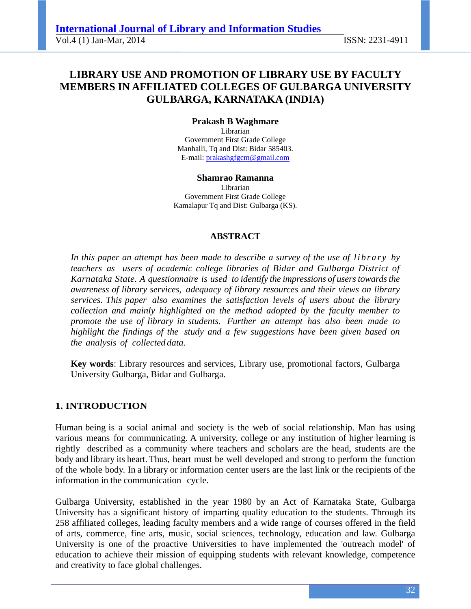# **LIBRARY USE AND PROMOTION OF LIBRARY USE BY FACULTY MEMBERS IN AFFILIATED COLLEGES OF GULBARGA UNIVERSITY GULBARGA, KARNATAKA (INDIA)**

## **Prakash B Waghmare**

Librarian Government First Grade College Manhalli, Tq and Dist: Bidar 585403. E-mail: prakashgfgcm@gmail.com

**Shamrao Ramanna**  Librarian Government First Grade College Kamalapur Tq and Dist: Gulbarga (KS).

#### **ABSTRACT**

*In this paper an attempt has been made to describe a survey of the use of library by teachers as users of academic college libraries of Bidar and Gulbarga District of Karnataka State. A questionnaire is used to identify the impressions of users towards the awareness of library services, adequacy of library resources and their views on library services. This paper also examines the satisfaction levels of users about the library collection and mainly highlighted on the method adopted by the faculty member to promote the use of library in students. Further an attempt has also been made to highlight the findings of the study and a few suggestions have been given based on the analysis of collected data.* 

**Key words**: Library resources and services, Library use, promotional factors, Gulbarga University Gulbarga, Bidar and Gulbarga.

#### **1. INTRODUCTION**

Human being is a social animal and society is the web of social relationship. Man has using various means for communicating. A university, college or any institution of higher learning is rightly described as a community where teachers and scholars are the head, students are the body and library its heart. Thus, heart must be well developed and strong to perform the function of the whole body. In a library or information center users are the last link or the recipients of the information in the communication cycle.

Gulbarga University, established in the year 1980 by an Act of Karnataka State, Gulbarga University has a significant history of imparting quality education to the students. Through its 258 affiliated colleges, leading faculty members and a wide range of courses offered in the field of arts, commerce, fine arts, music, social sciences, technology, education and law. Gulbarga University is one of the proactive Universities to have implemented the 'outreach model' of education to achieve their mission of equipping students with relevant knowledge, competence and creativity to face global challenges.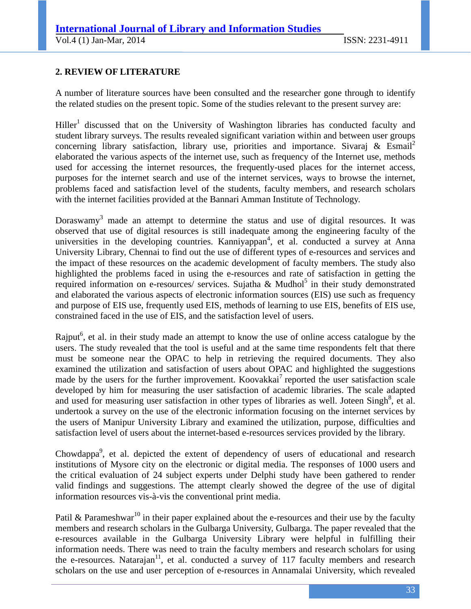## **2. REVIEW OF LITERATURE**

A number of literature sources have been consulted and the researcher gone through to identify the related studies on the present topic. Some of the studies relevant to the present survey are:

Hiller<sup>1</sup> discussed that on the University of Washington libraries has conducted faculty and student library surveys. The results revealed significant variation within and between user groups concerning library satisfaction, library use, priorities and importance. Sivaraj  $\&$  Esmail<sup>2</sup> elaborated the various aspects of the internet use, such as frequency of the Internet use, methods used for accessing the internet resources, the frequently-used places for the internet access, purposes for the internet search and use of the internet services, ways to browse the internet, problems faced and satisfaction level of the students, faculty members, and research scholars with the internet facilities provided at the Bannari Amman Institute of Technology.

Doraswamy<sup>3</sup> made an attempt to determine the status and use of digital resources. It was observed that use of digital resources is still inadequate among the engineering faculty of the universities in the developing countries. Kanniyappan<sup>4</sup>, et al. conducted a survey at Anna University Library, Chennai to find out the use of different types of e-resources and services and the impact of these resources on the academic development of faculty members. The study also highlighted the problems faced in using the e-resources and rate of satisfaction in getting the required information on e-resources/ services. Sujatha & Mudhol<sup>5</sup> in their study demonstrated and elaborated the various aspects of electronic information sources (EIS) use such as frequency and purpose of EIS use, frequently used EIS, methods of learning to use EIS, benefits of EIS use, constrained faced in the use of EIS, and the satisfaction level of users.

Rajput<sup>6</sup>, et al. in their study made an attempt to know the use of online access catalogue by the users. The study revealed that the tool is useful and at the same time respondents felt that there must be someone near the OPAC to help in retrieving the required documents. They also examined the utilization and satisfaction of users about OPAC and highlighted the suggestions made by the users for the further improvement. Koovakkai<sup>7</sup> reported the user satisfaction scale developed by him for measuring the user satisfaction of academic libraries. The scale adapted and used for measuring user satisfaction in other types of libraries as well. Joteen Singh<sup>8</sup>, et al. undertook a survey on the use of the electronic information focusing on the internet services by the users of Manipur University Library and examined the utilization, purpose, difficulties and satisfaction level of users about the internet-based e-resources services provided by the library.

Chowdappa<sup>9</sup>, et al. depicted the extent of dependency of users of educational and research institutions of Mysore city on the electronic or digital media. The responses of 1000 users and the critical evaluation of 24 subject experts under Delphi study have been gathered to render valid findings and suggestions. The attempt clearly showed the degree of the use of digital information resources vis-à-vis the conventional print media.

Patil & Parameshwar<sup>10</sup> in their paper explained about the e-resources and their use by the faculty members and research scholars in the Gulbarga University, Gulbarga. The paper revealed that the e-resources available in the Gulbarga University Library were helpful in fulfilling their information needs. There was need to train the faculty members and research scholars for using the e-resources. Natarajan<sup>11</sup>, et al. conducted a survey of 117 faculty members and research scholars on the use and user perception of e-resources in Annamalai University, which revealed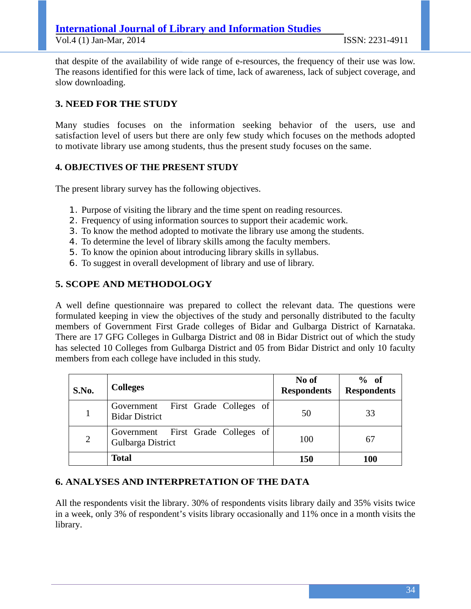that despite of the availability of wide range of e-resources, the frequency of their use was low. The reasons identified for this were lack of time, lack of awareness, lack of subject coverage, and slow downloading.

## **3. NEED FOR THE STUDY**

Many studies focuses on the information seeking behavior of the users, use and satisfaction level of users but there are only few study which focuses on the methods adopted to motivate library use among students, thus the present study focuses on the same.

#### **4. OBJECTIVES OF THE PRESENT STUDY**

The present library survey has the following objectives.

- 1. Purpose of visiting the library and the time spent on reading resources.
- 2. Frequency of using information sources to support their academic work.
- 3. To know the method adopted to motivate the library use among the students.
- 4. To determine the level of library skills among the faculty members.
- 5. To know the opinion about introducing library skills in syllabus.
- 6. To suggest in overall development of library and use of library.

#### **5. SCOPE AND METHODOLOGY**

A well define questionnaire was prepared to collect the relevant data. The questions were formulated keeping in view the objectives of the study and personally distributed to the faculty members of Government First Grade colleges of Bidar and Gulbarga District of Karnataka. There are 17 GFG Colleges in Gulbarga District and 08 in Bidar District out of which the study has selected 10 Colleges from Gulbarga District and 05 from Bidar District and only 10 faculty members from each college have included in this study.

| S.No. | <b>Colleges</b>                                             | No of<br><b>Respondents</b> | % of<br><b>Respondents</b> |
|-------|-------------------------------------------------------------|-----------------------------|----------------------------|
|       | Government First Grade Colleges of<br><b>Bidar District</b> | 50                          | 33                         |
| 2     | Government First Grade Colleges of<br>Gulbarga District     | 100                         | 67                         |
|       | <b>Total</b>                                                | <b>150</b>                  | <b>100</b>                 |

#### **6. ANALYSES AND INTERPRETATION OF THE DATA**

All the respondents visit the library. 30% of respondents visits library daily and 35% visits twice in a week, only 3% of respondent's visits library occasionally and 11% once in a month visits the library.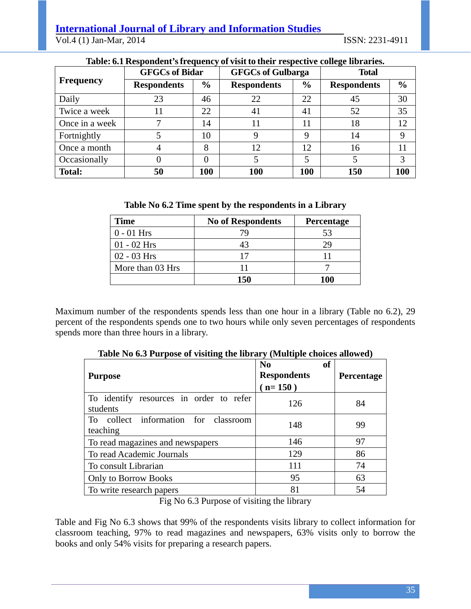#### **International Journal of Library and Information Studies** Vol.4 (1) Jan-Mar, 2014 ISSN: 2231-4911

|                  | <b>GFGCs of Bidar</b> |               | <b>GFGCs of Gulbarga</b> |               | <b>Total</b>       |               |
|------------------|-----------------------|---------------|--------------------------|---------------|--------------------|---------------|
| <b>Frequency</b> | <b>Respondents</b>    | $\frac{6}{6}$ | <b>Respondents</b>       | $\frac{6}{6}$ | <b>Respondents</b> | $\frac{6}{6}$ |
| Daily            | 23                    | 46            | 22                       | 22            | 45                 | 30            |
| Twice a week     |                       | 22            | 41                       | 41            | 52                 | 35            |
| Once in a week   |                       | 14            |                          | 11            | 18                 | 12            |
| Fortnightly      |                       | 10            |                          | 9             | 14                 |               |
| Once a month     |                       | 8             | 12                       | 12            | 16                 |               |
| Occasionally     |                       |               |                          |               |                    |               |
| Total:           | 50                    | 100           | 100                      | 100           | 150                | 100           |

#### **Table: 6.1 Respondent's frequency of visit to their respective college libraries.**

|  |  | Table No 6.2 Time spent by the respondents in a Library |  |
|--|--|---------------------------------------------------------|--|
|--|--|---------------------------------------------------------|--|

| <b>Time</b>      | <b>No of Respondents</b> | Percentage |
|------------------|--------------------------|------------|
| $0 - 01$ Hrs     |                          | 53         |
| $01 - 02$ Hrs    | 43                       | 29         |
| $02 - 03$ Hrs    | 17                       |            |
| More than 03 Hrs |                          |            |
|                  | 150                      | 100        |

Maximum number of the respondents spends less than one hour in a library (Table no 6.2), 29 percent of the respondents spends one to two hours while only seven percentages of respondents spends more than three hours in a library.

| <b>Purpose</b>                                       | N <sub>0</sub><br><b>of</b><br><b>Respondents</b><br>$(n=150)$ | <b>Percentage</b> |
|------------------------------------------------------|----------------------------------------------------------------|-------------------|
| To identify resources in order to refer<br>students  | 126                                                            | 84                |
| collect information for classroom<br>To.<br>teaching | 148                                                            | 99                |
| To read magazines and newspapers                     | 146                                                            | 97                |
| To read Academic Journals                            | 129                                                            | 86                |
| To consult Librarian                                 | 111                                                            | 74                |
| <b>Only to Borrow Books</b>                          | 95                                                             | 63                |
| To write research papers                             | 81                                                             | 54                |

**Table No 6.3 Purpose of visiting the library (Multiple choices allowed)** 

Fig No 6.3 Purpose of visiting the library

Table and Fig No 6.3 shows that 99% of the respondents visits library to collect information for classroom teaching, 97% to read magazines and newspapers, 63% visits only to borrow the books and only 54% visits for preparing a research papers.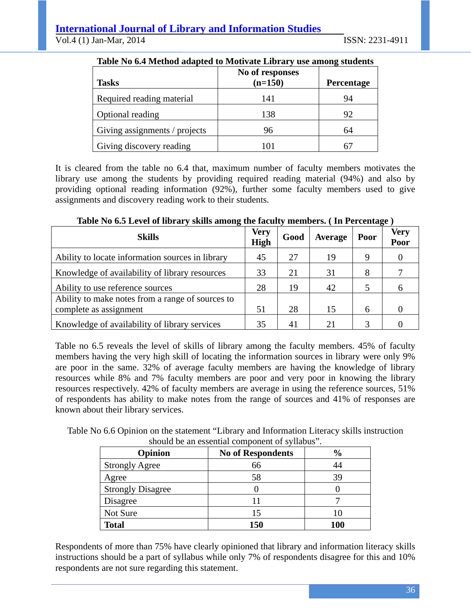# **International Journal of Library and Information Studies**

Vol.4 (1) Jan-Mar, 2014 ISSN: 2231-4911

| Table Tw or memor adapted to monyate Library abe among biauchts |                 |            |  |  |
|-----------------------------------------------------------------|-----------------|------------|--|--|
|                                                                 | No of responses |            |  |  |
| <b>Tasks</b>                                                    | $(n=150)$       | Percentage |  |  |
| Required reading material                                       | 141             | 94         |  |  |
| Optional reading                                                | 138             | 92         |  |  |
| Giving assignments / projects                                   | 96              | 64         |  |  |
| Giving discovery reading                                        | 101             | 6.         |  |  |

#### **Table No 6.4 Method adapted to Motivate Library use among students**

It is cleared from the table no 6.4 that, maximum number of faculty members motivates the library use among the students by providing required reading material (94%) and also by providing optional reading information (92%), further some faculty members used to give assignments and discovery reading work to their students.

| Table Tw was lieved of histary billing among the faculty inchinency (The electricity ) |                            |      |         |      |                     |
|----------------------------------------------------------------------------------------|----------------------------|------|---------|------|---------------------|
| <b>Skills</b>                                                                          | <b>Very</b><br><b>High</b> | Good | Average | Poor | <b>Very</b><br>Poor |
| Ability to locate information sources in library                                       | 45                         | 27   | 19      | Q    |                     |
| Knowledge of availability of library resources                                         |                            | 21   | 31      | 8    |                     |
| Ability to use reference sources                                                       | 28                         | 19   | 42      |      |                     |
| Ability to make notes from a range of sources to<br>complete as assignment             | 51                         | 28   | 15      | 6    |                     |
| Knowledge of availability of library services                                          | 35                         | 41   | 21      |      |                     |

## **Table No 6.5 Level of library skills among the faculty members. ( In Percentage )**

Table no 6.5 reveals the level of skills of library among the faculty members. 45% of faculty members having the very high skill of locating the information sources in library were only 9% are poor in the same. 32% of average faculty members are having the knowledge of library resources while 8% and 7% faculty members are poor and very poor in knowing the library resources respectively. 42% of faculty members are average in using the reference sources, 51% of respondents has ability to make notes from the range of sources and 41% of responses are known about their library services.

Table No 6.6 Opinion on the statement "Library and Information Literacy skills instruction should be an essential component of syllabus".

| Opinion                  | <b>No of Respondents</b> | $\frac{6}{6}$ |
|--------------------------|--------------------------|---------------|
| <b>Strongly Agree</b>    | 66                       | 44            |
| Agree                    | 58                       | 39            |
| <b>Strongly Disagree</b> |                          |               |
| Disagree                 |                          |               |
| Not Sure                 | 15                       |               |
| <b>Total</b>             | 150                      | 100           |

Respondents of more than 75% have clearly opinioned that library and information literacy skills instructions should be a part of syllabus while only 7% of respondents disagree for this and 10% respondents are not sure regarding this statement.